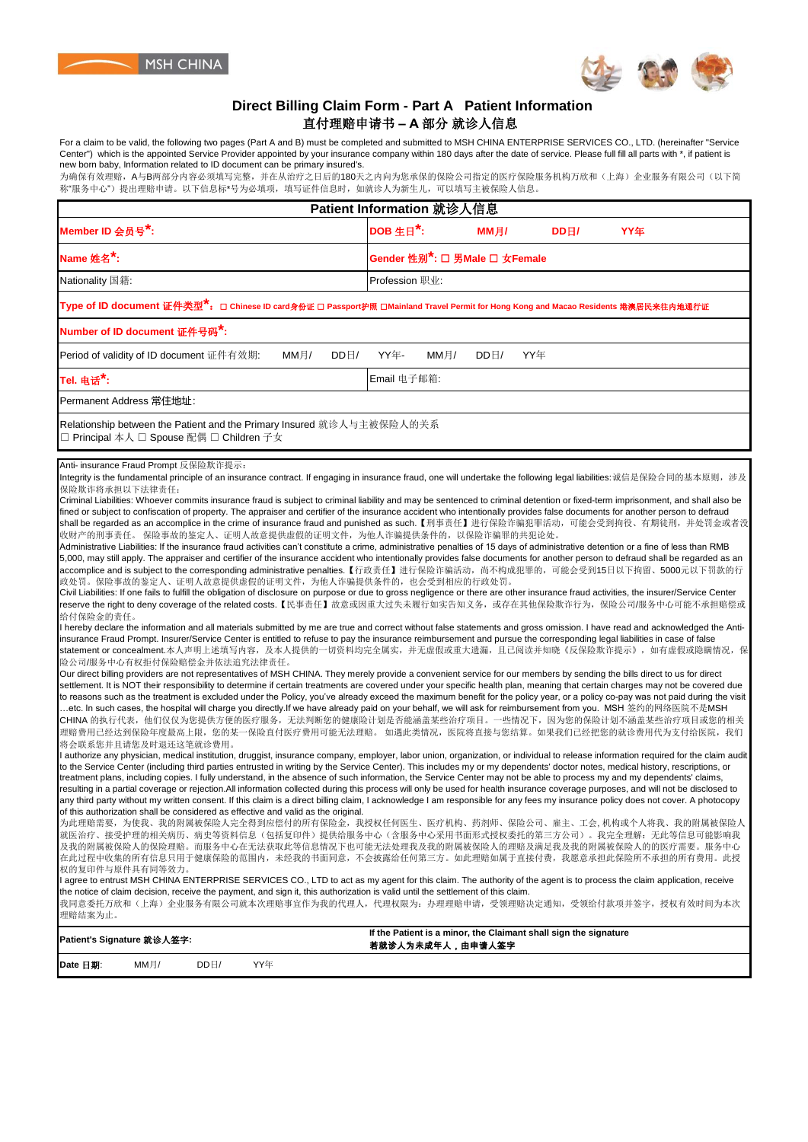



## **Direct Billing Claim Form - Part A Patient Information** 直付理赔申请书 **– A** 部分 就诊人信息

For a claim to be valid, the following two pages (Part A and B) must be completed and submitted to MSH CHINA ENTERPRISE SERVICES CO., LTD. (hereinafter "Service Center") which is the appointed Service Provider appointed by your insurance company within 180 days after the date of service. Please full fill all parts with \*, if patient is new born baby, Information related to ID document can be primary insured's.

为确保有效理赔,A与B两部分内容必须填写完整,并在从治疗之日后的180天之内向为您承保的保险公司指定的医疗保险服务机构万欣和(上海)企业服务有限公司(以下简 称"服务中心")提出理赔申请。以下信息标\*号为必填项,填写证件信息时,如就诊人为新生儿,可以填写主被保险人信息。

| Patient Information 就诊人信息                                                                                                                                                                                                                                                                                                                                                                                                                                                                                                                                                                                                                                                                                                                                                                                                                                                                                                                                                                                                                                                                                                                                                                                                                                                                                                                                                                                                                                                                                                                                                                                                                                                                                                                                                                                                                                                                                                                                                                                                                                                                                                                                                                                                                                                                                                                                                                                                                                                                                                                                                                                                                                                                                                                                                                                                                                                                                                                                                                                                                                                                                                                                                                                                                                                                                                                                                                                                                                                                                                                                                                                                                                                                                                                                                                                                                                                                                                                                                                                                                                                                                                                                                                                                                                                                                                                                                                                                                                                                                                                                                                                                                                                                                                                                                                                                                                                                                                                                                        |                                            |  |  |  |  |  |
|----------------------------------------------------------------------------------------------------------------------------------------------------------------------------------------------------------------------------------------------------------------------------------------------------------------------------------------------------------------------------------------------------------------------------------------------------------------------------------------------------------------------------------------------------------------------------------------------------------------------------------------------------------------------------------------------------------------------------------------------------------------------------------------------------------------------------------------------------------------------------------------------------------------------------------------------------------------------------------------------------------------------------------------------------------------------------------------------------------------------------------------------------------------------------------------------------------------------------------------------------------------------------------------------------------------------------------------------------------------------------------------------------------------------------------------------------------------------------------------------------------------------------------------------------------------------------------------------------------------------------------------------------------------------------------------------------------------------------------------------------------------------------------------------------------------------------------------------------------------------------------------------------------------------------------------------------------------------------------------------------------------------------------------------------------------------------------------------------------------------------------------------------------------------------------------------------------------------------------------------------------------------------------------------------------------------------------------------------------------------------------------------------------------------------------------------------------------------------------------------------------------------------------------------------------------------------------------------------------------------------------------------------------------------------------------------------------------------------------------------------------------------------------------------------------------------------------------------------------------------------------------------------------------------------------------------------------------------------------------------------------------------------------------------------------------------------------------------------------------------------------------------------------------------------------------------------------------------------------------------------------------------------------------------------------------------------------------------------------------------------------------------------------------------------------------------------------------------------------------------------------------------------------------------------------------------------------------------------------------------------------------------------------------------------------------------------------------------------------------------------------------------------------------------------------------------------------------------------------------------------------------------------------------------------------------------------------------------------------------------------------------------------------------------------------------------------------------------------------------------------------------------------------------------------------------------------------------------------------------------------------------------------------------------------------------------------------------------------------------------------------------------------------------------------------------------------------------------------------------------------------------------------------------------------------------------------------------------------------------------------------------------------------------------------------------------------------------------------------------------------------------------------------------------------------------------------------------------------------------------------------------------------------------------------------------------------------------------------------|--------------------------------------------|--|--|--|--|--|
| Member ID 会员号 <sup>*</sup> :                                                                                                                                                                                                                                                                                                                                                                                                                                                                                                                                                                                                                                                                                                                                                                                                                                                                                                                                                                                                                                                                                                                                                                                                                                                                                                                                                                                                                                                                                                                                                                                                                                                                                                                                                                                                                                                                                                                                                                                                                                                                                                                                                                                                                                                                                                                                                                                                                                                                                                                                                                                                                                                                                                                                                                                                                                                                                                                                                                                                                                                                                                                                                                                                                                                                                                                                                                                                                                                                                                                                                                                                                                                                                                                                                                                                                                                                                                                                                                                                                                                                                                                                                                                                                                                                                                                                                                                                                                                                                                                                                                                                                                                                                                                                                                                                                                                                                                                                                     | DOB 生日*:<br>MM月/<br>DDH/<br>YY年            |  |  |  |  |  |
| Name 姓名 <sup>*</sup> :                                                                                                                                                                                                                                                                                                                                                                                                                                                                                                                                                                                                                                                                                                                                                                                                                                                                                                                                                                                                                                                                                                                                                                                                                                                                                                                                                                                                                                                                                                                                                                                                                                                                                                                                                                                                                                                                                                                                                                                                                                                                                                                                                                                                                                                                                                                                                                                                                                                                                                                                                                                                                                                                                                                                                                                                                                                                                                                                                                                                                                                                                                                                                                                                                                                                                                                                                                                                                                                                                                                                                                                                                                                                                                                                                                                                                                                                                                                                                                                                                                                                                                                                                                                                                                                                                                                                                                                                                                                                                                                                                                                                                                                                                                                                                                                                                                                                                                                                                           | Gender 性别 <sup>*</sup> : □ 男Male □ 女Female |  |  |  |  |  |
| Nationality 国籍:                                                                                                                                                                                                                                                                                                                                                                                                                                                                                                                                                                                                                                                                                                                                                                                                                                                                                                                                                                                                                                                                                                                                                                                                                                                                                                                                                                                                                                                                                                                                                                                                                                                                                                                                                                                                                                                                                                                                                                                                                                                                                                                                                                                                                                                                                                                                                                                                                                                                                                                                                                                                                                                                                                                                                                                                                                                                                                                                                                                                                                                                                                                                                                                                                                                                                                                                                                                                                                                                                                                                                                                                                                                                                                                                                                                                                                                                                                                                                                                                                                                                                                                                                                                                                                                                                                                                                                                                                                                                                                                                                                                                                                                                                                                                                                                                                                                                                                                                                                  | Profession 职业:                             |  |  |  |  |  |
| Type of ID document 证件类型 <sup>★</sup> :  □ Chinese ID card身份证 □ Passport护照 □Mainland Travel Permit for Hong Kong and Macao Residents 港澳居民来往内地通行证                                                                                                                                                                                                                                                                                                                                                                                                                                                                                                                                                                                                                                                                                                                                                                                                                                                                                                                                                                                                                                                                                                                                                                                                                                                                                                                                                                                                                                                                                                                                                                                                                                                                                                                                                                                                                                                                                                                                                                                                                                                                                                                                                                                                                                                                                                                                                                                                                                                                                                                                                                                                                                                                                                                                                                                                                                                                                                                                                                                                                                                                                                                                                                                                                                                                                                                                                                                                                                                                                                                                                                                                                                                                                                                                                                                                                                                                                                                                                                                                                                                                                                                                                                                                                                                                                                                                                                                                                                                                                                                                                                                                                                                                                                                                                                                                                                 |                                            |  |  |  |  |  |
| Number of ID document 证件号码 <sup>*</sup> :                                                                                                                                                                                                                                                                                                                                                                                                                                                                                                                                                                                                                                                                                                                                                                                                                                                                                                                                                                                                                                                                                                                                                                                                                                                                                                                                                                                                                                                                                                                                                                                                                                                                                                                                                                                                                                                                                                                                                                                                                                                                                                                                                                                                                                                                                                                                                                                                                                                                                                                                                                                                                                                                                                                                                                                                                                                                                                                                                                                                                                                                                                                                                                                                                                                                                                                                                                                                                                                                                                                                                                                                                                                                                                                                                                                                                                                                                                                                                                                                                                                                                                                                                                                                                                                                                                                                                                                                                                                                                                                                                                                                                                                                                                                                                                                                                                                                                                                                        |                                            |  |  |  |  |  |
| MMH/<br>Period of validity of ID document 证件有效期:<br>DDE/                                                                                                                                                                                                                                                                                                                                                                                                                                                                                                                                                                                                                                                                                                                                                                                                                                                                                                                                                                                                                                                                                                                                                                                                                                                                                                                                                                                                                                                                                                                                                                                                                                                                                                                                                                                                                                                                                                                                                                                                                                                                                                                                                                                                                                                                                                                                                                                                                                                                                                                                                                                                                                                                                                                                                                                                                                                                                                                                                                                                                                                                                                                                                                                                                                                                                                                                                                                                                                                                                                                                                                                                                                                                                                                                                                                                                                                                                                                                                                                                                                                                                                                                                                                                                                                                                                                                                                                                                                                                                                                                                                                                                                                                                                                                                                                                                                                                                                                         | YY年-<br>MMH/<br>DDE/<br>YY年                |  |  |  |  |  |
| Tel. 电话 <sup>*</sup> :                                                                                                                                                                                                                                                                                                                                                                                                                                                                                                                                                                                                                                                                                                                                                                                                                                                                                                                                                                                                                                                                                                                                                                                                                                                                                                                                                                                                                                                                                                                                                                                                                                                                                                                                                                                                                                                                                                                                                                                                                                                                                                                                                                                                                                                                                                                                                                                                                                                                                                                                                                                                                                                                                                                                                                                                                                                                                                                                                                                                                                                                                                                                                                                                                                                                                                                                                                                                                                                                                                                                                                                                                                                                                                                                                                                                                                                                                                                                                                                                                                                                                                                                                                                                                                                                                                                                                                                                                                                                                                                                                                                                                                                                                                                                                                                                                                                                                                                                                           | Email 电子邮箱:                                |  |  |  |  |  |
| Permanent Address 常住地址:                                                                                                                                                                                                                                                                                                                                                                                                                                                                                                                                                                                                                                                                                                                                                                                                                                                                                                                                                                                                                                                                                                                                                                                                                                                                                                                                                                                                                                                                                                                                                                                                                                                                                                                                                                                                                                                                                                                                                                                                                                                                                                                                                                                                                                                                                                                                                                                                                                                                                                                                                                                                                                                                                                                                                                                                                                                                                                                                                                                                                                                                                                                                                                                                                                                                                                                                                                                                                                                                                                                                                                                                                                                                                                                                                                                                                                                                                                                                                                                                                                                                                                                                                                                                                                                                                                                                                                                                                                                                                                                                                                                                                                                                                                                                                                                                                                                                                                                                                          |                                            |  |  |  |  |  |
| Relationship between the Patient and the Primary Insured 就诊人与主被保险人的关系<br>□ Principal 本人 □ Spouse 配偶 □ Children 子女                                                                                                                                                                                                                                                                                                                                                                                                                                                                                                                                                                                                                                                                                                                                                                                                                                                                                                                                                                                                                                                                                                                                                                                                                                                                                                                                                                                                                                                                                                                                                                                                                                                                                                                                                                                                                                                                                                                                                                                                                                                                                                                                                                                                                                                                                                                                                                                                                                                                                                                                                                                                                                                                                                                                                                                                                                                                                                                                                                                                                                                                                                                                                                                                                                                                                                                                                                                                                                                                                                                                                                                                                                                                                                                                                                                                                                                                                                                                                                                                                                                                                                                                                                                                                                                                                                                                                                                                                                                                                                                                                                                                                                                                                                                                                                                                                                                                |                                            |  |  |  |  |  |
| Integrity is the fundamental principle of an insurance contract. If engaging in insurance fraud, one will undertake the following legal liabilities:诚信是保险合同的基本原则,涉及<br>保险欺诈将承担以下法律责任:<br>Criminal Liabilities: Whoever commits insurance fraud is subject to criminal liability and may be sentenced to criminal detention or fixed-term imprisonment, and shall also be<br>fined or subject to confiscation of property. The appraiser and certifier of the insurance accident who intentionally provides false documents for another person to defraud<br>shall be reqarded as an accomplice in the crime of insurance fraud and punished as such.【刑事责任】进行保险诈骗犯罪活动,可能会受到拘役、有期徒刑,并处罚金或者没<br>收财产的刑事责任。 保险事故的鉴定人、证明人故意提供虚假的证明文件,为他人诈骗提供条件的,以保险诈骗罪的共犯论处。<br>Administrative Liabilities: If the insurance fraud activities can't constitute a crime, administrative penalties of 15 days of administrative detention or a fine of less than RMB<br>5,000, may still apply. The appraiser and certifier of the insurance accident who intentionally provides false documents for another person to defraud shall be regarded as an<br>accomplice and is subject to the corresponding administrative penalties.【行政责任】进行保险诈骗活动,尚不构成犯罪的,可能会受到15日以下拘留、5000元以下罚款的行<br>政处罚。保险事故的鉴定人、证明人故意提供虚假的证明文件,为他人诈骗提供条件的,也会受到相应的行政处罚。<br>Civil Liabilities: If one fails to fulfill the obligation of disclosure on purpose or due to gross negligence or there are other insurance fraud activities, the insurer/Service Center<br>reserve the right to deny coverage of the related costs.【民事责任】故意或因重大过失未履行如实告知义务,或存在其他保险欺诈行为,保险公司/服务中心可能不承担赔偿或<br>给付保险金的责任。<br>I hereby declare the information and all materials submitted by me are true and correct without false statements and gross omission. I have read and acknowledged the Anti-<br>insurance Fraud Prompt. Insurer/Service Center is entitled to refuse to pay the insurance reimbursement and pursue the corresponding legal liabilities in case of false<br>statement or concealment.本人声明上述填写内容,及本人提供的一切资料均完全属实,并无虚假或重大遗漏,且已阅读并知晓《反保险欺诈提示》,如有虚假或隐瞒情况,保<br>险公司/服务中心有权拒付保险赔偿金并依法追究法律责任。<br>Our direct billing providers are not representatives of MSH CHINA. They merely provide a convenient service for our members by sending the bills direct to us for direct<br>settlement. It is NOT their responsibility to determine if certain treatments are covered under your specific health plan, meaning that certain charges may not be covered due<br>to reasons such as the treatment is excluded under the Policy, you've already exceed the maximum benefit for the policy year, or a policy co-pay was not paid during the visit<br>etc. In such cases, the hospital will charge you directly.If we have already paid on your behalf, we will ask for reimbursement from you. MSH 签约的网络医院不是MSH<br>CHINA 的执行代表,他们仅仅为您提供方便的医疗服务,无法判断您的健康险计划是否能涵盖某些治疗项目。一些情况下,因为您的保险计划不涵盖某些治疗项目或您的相关<br>理赔费用已经达到保险年度最高上限,您的某一保险直付医疗费用可能无法理赔。    如遇此类情况,医院将直接与您结算。如果我们已经把您的就诊费用代为支付给医院,我们<br>将会联系您并且请您及时退还这笔就诊费用。<br>l authorize any physician, medical institution, druggist, insurance company, employer, labor union, organization, or individual to release information required for the claim audit<br>to the Service Center (including third parties entrusted in writing by the Service Center). This includes my or my dependents' doctor notes, medical history, rescriptions, or<br>treatment plans, including copies. I fully understand, in the absence of such information, the Service Center may not be able to process my and my dependents' claims,<br>resulting in a partial coverage or rejection.All information collected during this process will only be used for health insurance coverage purposes, and will not be disclosed to<br>any third party without my written consent. If this claim is a direct billing claim, I acknowledge I am responsible for any fees my insurance policy does not cover. A photocopy<br>of this authorization shall be considered as effective and valid as the original.<br>为此理赔需要,为使我、我的附属被保险人完全得到应偿付的所有保险金,我授权任何医生、医疗机构、药剂师、保险公司、雇主、工会, 机构或个人将我、我的附属被保险人<br>就医治疗、接受护理的相关病历、病史等资料信息(包括复印件)提供给服务中心(含服务中心采用书面形式授权委托的第三方公司)。我完全理解:无此等信息可能影响我<br>及我的附属被保险人的保险理赔。而服务中心在无法获取此等信息情况下也可能无法处理我及我的附属被保险人的理赔及满足我及我的附属被保险人的的医疗需要。服务中心<br>在此过程中收集的所有信息只用于健康保险的范围内,未经我的书面同意,不会披露给任何第三方。如此理赔如属于直接付费,我愿意承担此保险所不承担的所有费用。此授<br>权的复印件与原件具有同等效力。<br>agree to entrust MSH CHINA ENTERPRISE SERVICES CO., LTD to act as my agent for this claim. The authority of the agent is to process the claim application, receive<br>the notice of claim decision, receive the payment, and sign it, this authorization is valid until the settlement of this claim.<br>我同意委托万欣和(上海)企业服务有限公司就本次理赔事宜作为我的代理人,代理权限为:办理理赔申请,受领理赔决定通知,受领给付款项并签字,授权有效时间为本次<br>理赔结案为止。<br>If the Patient is a minor, the Claimant shall sign the signature<br>Patient's Signature 就诊人签字:<br>若就诊人为未成年人,由申请人签字<br>Date 日期:<br>MMH/<br>DDE/<br>YY年 |                                            |  |  |  |  |  |